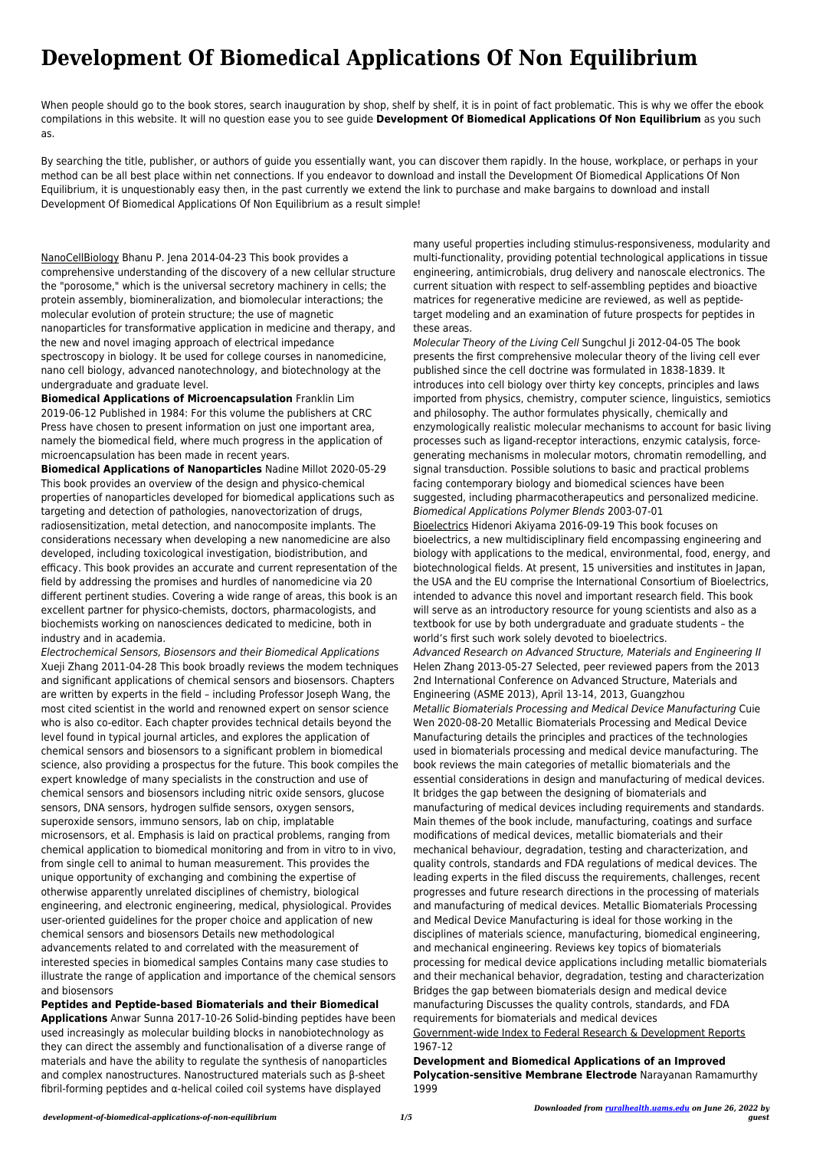# **Development Of Biomedical Applications Of Non Equilibrium**

When people should go to the book stores, search inauguration by shop, shelf by shelf, it is in point of fact problematic. This is why we offer the ebook compilations in this website. It will no question ease you to see guide **Development Of Biomedical Applications Of Non Equilibrium** as you such as.

By searching the title, publisher, or authors of guide you essentially want, you can discover them rapidly. In the house, workplace, or perhaps in your method can be all best place within net connections. If you endeavor to download and install the Development Of Biomedical Applications Of Non Equilibrium, it is unquestionably easy then, in the past currently we extend the link to purchase and make bargains to download and install Development Of Biomedical Applications Of Non Equilibrium as a result simple!

NanoCellBiology Bhanu P. Jena 2014-04-23 This book provides a comprehensive understanding of the discovery of a new cellular structure the "porosome," which is the universal secretory machinery in cells; the protein assembly, biomineralization, and biomolecular interactions; the molecular evolution of protein structure; the use of magnetic nanoparticles for transformative application in medicine and therapy, and the new and novel imaging approach of electrical impedance spectroscopy in biology. It be used for college courses in nanomedicine, nano cell biology, advanced nanotechnology, and biotechnology at the undergraduate and graduate level.

**Biomedical Applications of Microencapsulation** Franklin Lim 2019-06-12 Published in 1984: For this volume the publishers at CRC Press have chosen to present information on just one important area, namely the biomedical field, where much progress in the application of microencapsulation has been made in recent years.

**Biomedical Applications of Nanoparticles** Nadine Millot 2020-05-29 This book provides an overview of the design and physico-chemical properties of nanoparticles developed for biomedical applications such as targeting and detection of pathologies, nanovectorization of drugs, radiosensitization, metal detection, and nanocomposite implants. The considerations necessary when developing a new nanomedicine are also developed, including toxicological investigation, biodistribution, and efficacy. This book provides an accurate and current representation of the field by addressing the promises and hurdles of nanomedicine via 20 different pertinent studies. Covering a wide range of areas, this book is an excellent partner for physico-chemists, doctors, pharmacologists, and biochemists working on nanosciences dedicated to medicine, both in industry and in academia.

Electrochemical Sensors, Biosensors and their Biomedical Applications Xueji Zhang 2011-04-28 This book broadly reviews the modem techniques and significant applications of chemical sensors and biosensors. Chapters are written by experts in the field – including Professor Joseph Wang, the most cited scientist in the world and renowned expert on sensor science who is also co-editor. Each chapter provides technical details beyond the level found in typical journal articles, and explores the application of chemical sensors and biosensors to a significant problem in biomedical science, also providing a prospectus for the future. This book compiles the expert knowledge of many specialists in the construction and use of chemical sensors and biosensors including nitric oxide sensors, glucose sensors, DNA sensors, hydrogen sulfide sensors, oxygen sensors, superoxide sensors, immuno sensors, lab on chip, implatable microsensors, et al. Emphasis is laid on practical problems, ranging from chemical application to biomedical monitoring and from in vitro to in vivo, from single cell to animal to human measurement. This provides the unique opportunity of exchanging and combining the expertise of otherwise apparently unrelated disciplines of chemistry, biological engineering, and electronic engineering, medical, physiological. Provides user-oriented guidelines for the proper choice and application of new chemical sensors and biosensors Details new methodological advancements related to and correlated with the measurement of interested species in biomedical samples Contains many case studies to illustrate the range of application and importance of the chemical sensors and biosensors **Peptides and Peptide-based Biomaterials and their Biomedical Applications** Anwar Sunna 2017-10-26 Solid-binding peptides have been used increasingly as molecular building blocks in nanobiotechnology as they can direct the assembly and functionalisation of a diverse range of materials and have the ability to regulate the synthesis of nanoparticles and complex nanostructures. Nanostructured materials such as β-sheet fibril-forming peptides and α-helical coiled coil systems have displayed

many useful properties including stimulus-responsiveness, modularity and multi-functionality, providing potential technological applications in tissue engineering, antimicrobials, drug delivery and nanoscale electronics. The current situation with respect to self-assembling peptides and bioactive matrices for regenerative medicine are reviewed, as well as peptidetarget modeling and an examination of future prospects for peptides in these areas.

Molecular Theory of the Living Cell Sungchul Ji 2012-04-05 The book presents the first comprehensive molecular theory of the living cell ever published since the cell doctrine was formulated in 1838-1839. It introduces into cell biology over thirty key concepts, principles and laws imported from physics, chemistry, computer science, linguistics, semiotics and philosophy. The author formulates physically, chemically and enzymologically realistic molecular mechanisms to account for basic living processes such as ligand-receptor interactions, enzymic catalysis, forcegenerating mechanisms in molecular motors, chromatin remodelling, and signal transduction. Possible solutions to basic and practical problems facing contemporary biology and biomedical sciences have been suggested, including pharmacotherapeutics and personalized medicine. Biomedical Applications Polymer Blends 2003-07-01

Bioelectrics Hidenori Akiyama 2016-09-19 This book focuses on bioelectrics, a new multidisciplinary field encompassing engineering and biology with applications to the medical, environmental, food, energy, and biotechnological fields. At present, 15 universities and institutes in Japan, the USA and the EU comprise the International Consortium of Bioelectrics, intended to advance this novel and important research field. This book will serve as an introductory resource for young scientists and also as a textbook for use by both undergraduate and graduate students – the world's first such work solely devoted to bioelectrics.

Advanced Research on Advanced Structure, Materials and Engineering II Helen Zhang 2013-05-27 Selected, peer reviewed papers from the 2013 2nd International Conference on Advanced Structure, Materials and Engineering (ASME 2013), April 13-14, 2013, Guangzhou Metallic Biomaterials Processing and Medical Device Manufacturing Cuie Wen 2020-08-20 Metallic Biomaterials Processing and Medical Device Manufacturing details the principles and practices of the technologies used in biomaterials processing and medical device manufacturing. The book reviews the main categories of metallic biomaterials and the essential considerations in design and manufacturing of medical devices. It bridges the gap between the designing of biomaterials and manufacturing of medical devices including requirements and standards. Main themes of the book include, manufacturing, coatings and surface modifications of medical devices, metallic biomaterials and their mechanical behaviour, degradation, testing and characterization, and quality controls, standards and FDA regulations of medical devices. The leading experts in the filed discuss the requirements, challenges, recent progresses and future research directions in the processing of materials and manufacturing of medical devices. Metallic Biomaterials Processing and Medical Device Manufacturing is ideal for those working in the disciplines of materials science, manufacturing, biomedical engineering, and mechanical engineering. Reviews key topics of biomaterials processing for medical device applications including metallic biomaterials and their mechanical behavior, degradation, testing and characterization Bridges the gap between biomaterials design and medical device manufacturing Discusses the quality controls, standards, and FDA requirements for biomaterials and medical devices Government-wide Index to Federal Research & Development Reports 1967-12

### **Development and Biomedical Applications of an Improved Polycation-sensitive Membrane Electrode** Narayanan Ramamurthy 1999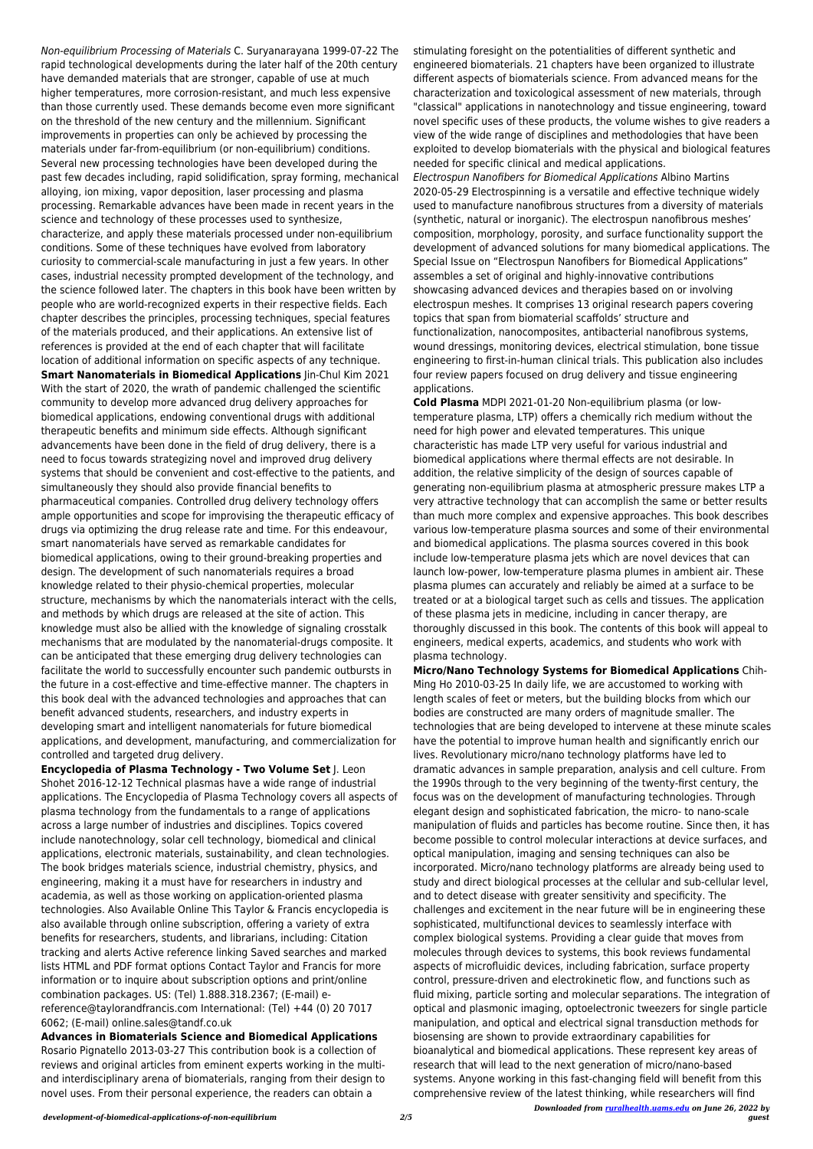*Downloaded from [ruralhealth.uams.edu](http://ruralhealth.uams.edu) on June 26, 2022 by guest*

Non-equilibrium Processing of Materials C. Suryanarayana 1999-07-22 The rapid technological developments during the later half of the 20th century have demanded materials that are stronger, capable of use at much higher temperatures, more corrosion-resistant, and much less expensive than those currently used. These demands become even more significant on the threshold of the new century and the millennium. Significant improvements in properties can only be achieved by processing the materials under far-from-equilibrium (or non-equilibrium) conditions. Several new processing technologies have been developed during the past few decades including, rapid solidification, spray forming, mechanical alloying, ion mixing, vapor deposition, laser processing and plasma processing. Remarkable advances have been made in recent years in the science and technology of these processes used to synthesize, characterize, and apply these materials processed under non-equilibrium conditions. Some of these techniques have evolved from laboratory curiosity to commercial-scale manufacturing in just a few years. In other cases, industrial necessity prompted development of the technology, and the science followed later. The chapters in this book have been written by people who are world-recognized experts in their respective fields. Each chapter describes the principles, processing techniques, special features of the materials produced, and their applications. An extensive list of references is provided at the end of each chapter that will facilitate location of additional information on specific aspects of any technique. **Smart Nanomaterials in Biomedical Applications** Jin-Chul Kim 2021 With the start of 2020, the wrath of pandemic challenged the scientific community to develop more advanced drug delivery approaches for biomedical applications, endowing conventional drugs with additional therapeutic benefits and minimum side effects. Although significant advancements have been done in the field of drug delivery, there is a need to focus towards strategizing novel and improved drug delivery systems that should be convenient and cost-effective to the patients, and simultaneously they should also provide financial benefits to pharmaceutical companies. Controlled drug delivery technology offers ample opportunities and scope for improvising the therapeutic efficacy of drugs via optimizing the drug release rate and time. For this endeavour, smart nanomaterials have served as remarkable candidates for biomedical applications, owing to their ground-breaking properties and design. The development of such nanomaterials requires a broad knowledge related to their physio-chemical properties, molecular structure, mechanisms by which the nanomaterials interact with the cells, and methods by which drugs are released at the site of action. This knowledge must also be allied with the knowledge of signaling crosstalk mechanisms that are modulated by the nanomaterial-drugs composite. It can be anticipated that these emerging drug delivery technologies can facilitate the world to successfully encounter such pandemic outbursts in the future in a cost-effective and time-effective manner. The chapters in this book deal with the advanced technologies and approaches that can benefit advanced students, researchers, and industry experts in developing smart and intelligent nanomaterials for future biomedical applications, and development, manufacturing, and commercialization for controlled and targeted drug delivery.

**Encyclopedia of Plasma Technology - Two Volume Set** J. Leon Shohet 2016-12-12 Technical plasmas have a wide range of industrial applications. The Encyclopedia of Plasma Technology covers all aspects of plasma technology from the fundamentals to a range of applications across a large number of industries and disciplines. Topics covered include nanotechnology, solar cell technology, biomedical and clinical applications, electronic materials, sustainability, and clean technologies. The book bridges materials science, industrial chemistry, physics, and engineering, making it a must have for researchers in industry and academia, as well as those working on application-oriented plasma technologies. Also Available Online This Taylor & Francis encyclopedia is also available through online subscription, offering a variety of extra benefits for researchers, students, and librarians, including: Citation tracking and alerts Active reference linking Saved searches and marked lists HTML and PDF format options Contact Taylor and Francis for more information or to inquire about subscription options and print/online combination packages. US: (Tel) 1.888.318.2367; (E-mail) ereference@taylorandfrancis.com International: (Tel) +44 (0) 20 7017 6062; (E-mail) online.sales@tandf.co.uk

#### **Advances in Biomaterials Science and Biomedical Applications**

Rosario Pignatello 2013-03-27 This contribution book is a collection of reviews and original articles from eminent experts working in the multiand interdisciplinary arena of biomaterials, ranging from their design to novel uses. From their personal experience, the readers can obtain a

stimulating foresight on the potentialities of different synthetic and engineered biomaterials. 21 chapters have been organized to illustrate different aspects of biomaterials science. From advanced means for the characterization and toxicological assessment of new materials, through "classical" applications in nanotechnology and tissue engineering, toward novel specific uses of these products, the volume wishes to give readers a view of the wide range of disciplines and methodologies that have been exploited to develop biomaterials with the physical and biological features needed for specific clinical and medical applications.

Electrospun Nanofibers for Biomedical Applications Albino Martins 2020-05-29 Electrospinning is a versatile and effective technique widely used to manufacture nanofibrous structures from a diversity of materials (synthetic, natural or inorganic). The electrospun nanofibrous meshes' composition, morphology, porosity, and surface functionality support the development of advanced solutions for many biomedical applications. The Special Issue on "Electrospun Nanofibers for Biomedical Applications" assembles a set of original and highly-innovative contributions showcasing advanced devices and therapies based on or involving electrospun meshes. It comprises 13 original research papers covering topics that span from biomaterial scaffolds' structure and functionalization, nanocomposites, antibacterial nanofibrous systems, wound dressings, monitoring devices, electrical stimulation, bone tissue engineering to first-in-human clinical trials. This publication also includes four review papers focused on drug delivery and tissue engineering applications.

**Cold Plasma** MDPI 2021-01-20 Non-equilibrium plasma (or lowtemperature plasma, LTP) offers a chemically rich medium without the need for high power and elevated temperatures. This unique characteristic has made LTP very useful for various industrial and biomedical applications where thermal effects are not desirable. In addition, the relative simplicity of the design of sources capable of generating non-equilibrium plasma at atmospheric pressure makes LTP a very attractive technology that can accomplish the same or better results than much more complex and expensive approaches. This book describes various low-temperature plasma sources and some of their environmental and biomedical applications. The plasma sources covered in this book include low-temperature plasma jets which are novel devices that can launch low-power, low-temperature plasma plumes in ambient air. These plasma plumes can accurately and reliably be aimed at a surface to be treated or at a biological target such as cells and tissues. The application of these plasma jets in medicine, including in cancer therapy, are thoroughly discussed in this book. The contents of this book will appeal to engineers, medical experts, academics, and students who work with plasma technology.

**Micro/Nano Technology Systems for Biomedical Applications** Chih-Ming Ho 2010-03-25 In daily life, we are accustomed to working with length scales of feet or meters, but the building blocks from which our bodies are constructed are many orders of magnitude smaller. The technologies that are being developed to intervene at these minute scales have the potential to improve human health and significantly enrich our lives. Revolutionary micro/nano technology platforms have led to dramatic advances in sample preparation, analysis and cell culture. From the 1990s through to the very beginning of the twenty-first century, the focus was on the development of manufacturing technologies. Through elegant design and sophisticated fabrication, the micro- to nano-scale manipulation of fluids and particles has become routine. Since then, it has become possible to control molecular interactions at device surfaces, and optical manipulation, imaging and sensing techniques can also be incorporated. Micro/nano technology platforms are already being used to study and direct biological processes at the cellular and sub-cellular level, and to detect disease with greater sensitivity and specificity. The challenges and excitement in the near future will be in engineering these sophisticated, multifunctional devices to seamlessly interface with complex biological systems. Providing a clear guide that moves from molecules through devices to systems, this book reviews fundamental aspects of microfluidic devices, including fabrication, surface property control, pressure-driven and electrokinetic flow, and functions such as fluid mixing, particle sorting and molecular separations. The integration of optical and plasmonic imaging, optoelectronic tweezers for single particle manipulation, and optical and electrical signal transduction methods for biosensing are shown to provide extraordinary capabilities for bioanalytical and biomedical applications. These represent key areas of research that will lead to the next generation of micro/nano-based systems. Anyone working in this fast-changing field will benefit from this comprehensive review of the latest thinking, while researchers will find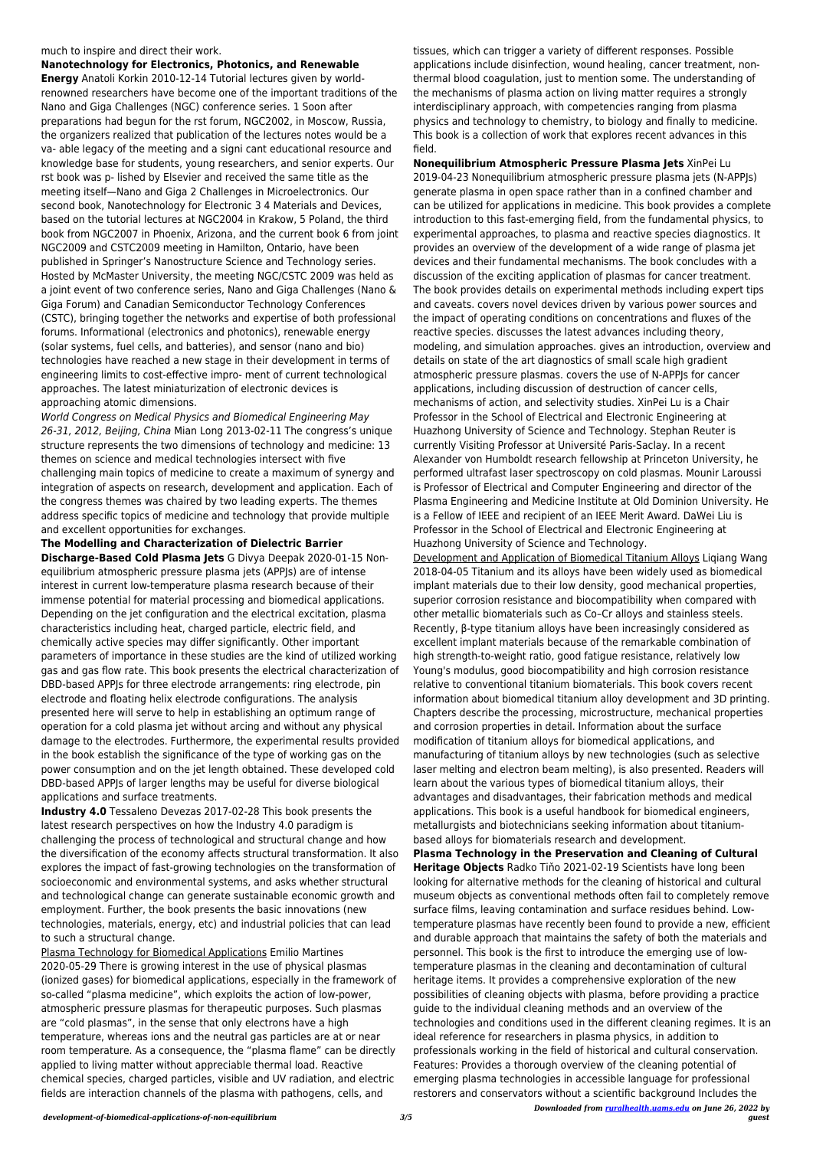much to inspire and direct their work. **Nanotechnology for Electronics, Photonics, and Renewable Energy** Anatoli Korkin 2010-12-14 Tutorial lectures given by worldrenowned researchers have become one of the important traditions of the Nano and Giga Challenges (NGC) conference series. 1 Soon after preparations had begun for the rst forum, NGC2002, in Moscow, Russia, the organizers realized that publication of the lectures notes would be a va- able legacy of the meeting and a signi cant educational resource and knowledge base for students, young researchers, and senior experts. Our rst book was p- lished by Elsevier and received the same title as the meeting itself—Nano and Giga 2 Challenges in Microelectronics. Our second book, Nanotechnology for Electronic 3 4 Materials and Devices, based on the tutorial lectures at NGC2004 in Krakow, 5 Poland, the third book from NGC2007 in Phoenix, Arizona, and the current book 6 from joint NGC2009 and CSTC2009 meeting in Hamilton, Ontario, have been published in Springer's Nanostructure Science and Technology series. Hosted by McMaster University, the meeting NGC/CSTC 2009 was held as a joint event of two conference series, Nano and Giga Challenges (Nano & Giga Forum) and Canadian Semiconductor Technology Conferences (CSTC), bringing together the networks and expertise of both professional forums. Informational (electronics and photonics), renewable energy (solar systems, fuel cells, and batteries), and sensor (nano and bio) technologies have reached a new stage in their development in terms of engineering limits to cost-effective impro- ment of current technological

approaches. The latest miniaturization of electronic devices is approaching atomic dimensions.

World Congress on Medical Physics and Biomedical Engineering May 26-31, 2012, Beijing, China Mian Long 2013-02-11 The congress's unique structure represents the two dimensions of technology and medicine: 13 themes on science and medical technologies intersect with five challenging main topics of medicine to create a maximum of synergy and integration of aspects on research, development and application. Each of the congress themes was chaired by two leading experts. The themes address specific topics of medicine and technology that provide multiple and excellent opportunities for exchanges.

**The Modelling and Characterization of Dielectric Barrier Discharge-Based Cold Plasma Jets** G Divya Deepak 2020-01-15 Nonequilibrium atmospheric pressure plasma jets (APPJs) are of intense interest in current low-temperature plasma research because of their immense potential for material processing and biomedical applications. Depending on the jet configuration and the electrical excitation, plasma characteristics including heat, charged particle, electric field, and chemically active species may differ significantly. Other important parameters of importance in these studies are the kind of utilized working gas and gas flow rate. This book presents the electrical characterization of DBD-based APPJs for three electrode arrangements: ring electrode, pin electrode and floating helix electrode configurations. The analysis presented here will serve to help in establishing an optimum range of operation for a cold plasma jet without arcing and without any physical damage to the electrodes. Furthermore, the experimental results provided in the book establish the significance of the type of working gas on the power consumption and on the jet length obtained. These developed cold DBD-based APPJs of larger lengths may be useful for diverse biological applications and surface treatments.

**Industry 4.0** Tessaleno Devezas 2017-02-28 This book presents the latest research perspectives on how the Industry 4.0 paradigm is challenging the process of technological and structural change and how the diversification of the economy affects structural transformation. It also explores the impact of fast-growing technologies on the transformation of socioeconomic and environmental systems, and asks whether structural and technological change can generate sustainable economic growth and employment. Further, the book presents the basic innovations (new technologies, materials, energy, etc) and industrial policies that can lead to such a structural change.

#### Plasma Technology for Biomedical Applications Emilio Martines

2020-05-29 There is growing interest in the use of physical plasmas (ionized gases) for biomedical applications, especially in the framework of so-called "plasma medicine", which exploits the action of low-power, atmospheric pressure plasmas for therapeutic purposes. Such plasmas are "cold plasmas", in the sense that only electrons have a high temperature, whereas ions and the neutral gas particles are at or near room temperature. As a consequence, the "plasma flame" can be directly applied to living matter without appreciable thermal load. Reactive chemical species, charged particles, visible and UV radiation, and electric fields are interaction channels of the plasma with pathogens, cells, and

tissues, which can trigger a variety of different responses. Possible applications include disinfection, wound healing, cancer treatment, nonthermal blood coagulation, just to mention some. The understanding of the mechanisms of plasma action on living matter requires a strongly interdisciplinary approach, with competencies ranging from plasma physics and technology to chemistry, to biology and finally to medicine. This book is a collection of work that explores recent advances in this field.

**Nonequilibrium Atmospheric Pressure Plasma Jets** XinPei Lu 2019-04-23 Nonequilibrium atmospheric pressure plasma jets (N-APPJs) generate plasma in open space rather than in a confined chamber and can be utilized for applications in medicine. This book provides a complete introduction to this fast-emerging field, from the fundamental physics, to experimental approaches, to plasma and reactive species diagnostics. It provides an overview of the development of a wide range of plasma jet devices and their fundamental mechanisms. The book concludes with a discussion of the exciting application of plasmas for cancer treatment. The book provides details on experimental methods including expert tips and caveats. covers novel devices driven by various power sources and the impact of operating conditions on concentrations and fluxes of the reactive species. discusses the latest advances including theory, modeling, and simulation approaches. gives an introduction, overview and details on state of the art diagnostics of small scale high gradient atmospheric pressure plasmas. covers the use of N-APPJs for cancer applications, including discussion of destruction of cancer cells, mechanisms of action, and selectivity studies. XinPei Lu is a Chair Professor in the School of Electrical and Electronic Engineering at Huazhong University of Science and Technology. Stephan Reuter is currently Visiting Professor at Université Paris-Saclay. In a recent Alexander von Humboldt research fellowship at Princeton University, he performed ultrafast laser spectroscopy on cold plasmas. Mounir Laroussi is Professor of Electrical and Computer Engineering and director of the Plasma Engineering and Medicine Institute at Old Dominion University. He is a Fellow of IEEE and recipient of an IEEE Merit Award. DaWei Liu is Professor in the School of Electrical and Electronic Engineering at Huazhong University of Science and Technology.

Development and Application of Biomedical Titanium Alloys Liqiang Wang 2018-04-05 Titanium and its alloys have been widely used as biomedical implant materials due to their low density, good mechanical properties, superior corrosion resistance and biocompatibility when compared with other metallic biomaterials such as Co–Cr alloys and stainless steels. Recently, β-type titanium alloys have been increasingly considered as excellent implant materials because of the remarkable combination of high strength-to-weight ratio, good fatigue resistance, relatively low Young's modulus, good biocompatibility and high corrosion resistance relative to conventional titanium biomaterials. This book covers recent information about biomedical titanium alloy development and 3D printing. Chapters describe the processing, microstructure, mechanical properties and corrosion properties in detail. Information about the surface modification of titanium alloys for biomedical applications, and manufacturing of titanium alloys by new technologies (such as selective laser melting and electron beam melting), is also presented. Readers will learn about the various types of biomedical titanium alloys, their advantages and disadvantages, their fabrication methods and medical applications. This book is a useful handbook for biomedical engineers, metallurgists and biotechnicians seeking information about titaniumbased alloys for biomaterials research and development.

**Plasma Technology in the Preservation and Cleaning of Cultural Heritage Objects** Radko Tiňo 2021-02-19 Scientists have long been looking for alternative methods for the cleaning of historical and cultural museum objects as conventional methods often fail to completely remove surface films, leaving contamination and surface residues behind. Lowtemperature plasmas have recently been found to provide a new, efficient and durable approach that maintains the safety of both the materials and personnel. This book is the first to introduce the emerging use of lowtemperature plasmas in the cleaning and decontamination of cultural heritage items. It provides a comprehensive exploration of the new possibilities of cleaning objects with plasma, before providing a practice guide to the individual cleaning methods and an overview of the technologies and conditions used in the different cleaning regimes. It is an ideal reference for researchers in plasma physics, in addition to professionals working in the field of historical and cultural conservation. Features: Provides a thorough overview of the cleaning potential of emerging plasma technologies in accessible language for professional restorers and conservators without a scientific background Includes the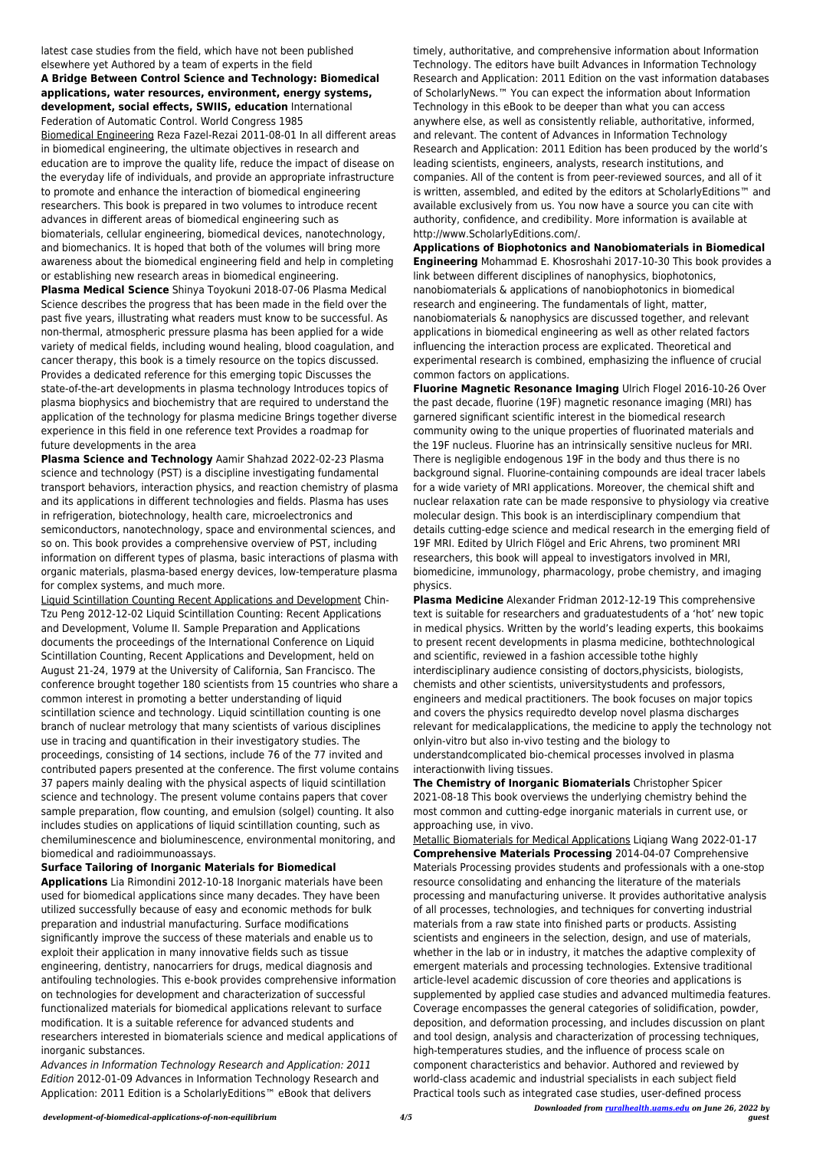latest case studies from the field, which have not been published elsewhere yet Authored by a team of experts in the field

## **A Bridge Between Control Science and Technology: Biomedical applications, water resources, environment, energy systems, development, social effects, SWIIS, education** International Federation of Automatic Control. World Congress 1985

Biomedical Engineering Reza Fazel-Rezai 2011-08-01 In all different areas in biomedical engineering, the ultimate objectives in research and education are to improve the quality life, reduce the impact of disease on the everyday life of individuals, and provide an appropriate infrastructure to promote and enhance the interaction of biomedical engineering researchers. This book is prepared in two volumes to introduce recent advances in different areas of biomedical engineering such as biomaterials, cellular engineering, biomedical devices, nanotechnology, and biomechanics. It is hoped that both of the volumes will bring more awareness about the biomedical engineering field and help in completing or establishing new research areas in biomedical engineering.

**Plasma Medical Science** Shinya Toyokuni 2018-07-06 Plasma Medical Science describes the progress that has been made in the field over the past five years, illustrating what readers must know to be successful. As non-thermal, atmospheric pressure plasma has been applied for a wide variety of medical fields, including wound healing, blood coagulation, and cancer therapy, this book is a timely resource on the topics discussed. Provides a dedicated reference for this emerging topic Discusses the state-of-the-art developments in plasma technology Introduces topics of plasma biophysics and biochemistry that are required to understand the application of the technology for plasma medicine Brings together diverse experience in this field in one reference text Provides a roadmap for future developments in the area

**Surface Tailoring of Inorganic Materials for Biomedical Applications** Lia Rimondini 2012-10-18 Inorganic materials have been used for biomedical applications since many decades. They have been utilized successfully because of easy and economic methods for bulk preparation and industrial manufacturing. Surface modifications significantly improve the success of these materials and enable us to exploit their application in many innovative fields such as tissue engineering, dentistry, nanocarriers for drugs, medical diagnosis and antifouling technologies. This e-book provides comprehensive information on technologies for development and characterization of successful functionalized materials for biomedical applications relevant to surface modification. It is a suitable reference for advanced students and researchers interested in biomaterials science and medical applications of inorganic substances. Advances in Information Technology Research and Application: 2011 Edition 2012-01-09 Advances in Information Technology Research and Application: 2011 Edition is a ScholarlyEditions™ eBook that delivers

**Plasma Science and Technology** Aamir Shahzad 2022-02-23 Plasma science and technology (PST) is a discipline investigating fundamental transport behaviors, interaction physics, and reaction chemistry of plasma and its applications in different technologies and fields. Plasma has uses in refrigeration, biotechnology, health care, microelectronics and semiconductors, nanotechnology, space and environmental sciences, and so on. This book provides a comprehensive overview of PST, including information on different types of plasma, basic interactions of plasma with organic materials, plasma-based energy devices, low-temperature plasma for complex systems, and much more.

Liquid Scintillation Counting Recent Applications and Development Chin-Tzu Peng 2012-12-02 Liquid Scintillation Counting: Recent Applications and Development, Volume II. Sample Preparation and Applications documents the proceedings of the International Conference on Liquid Scintillation Counting, Recent Applications and Development, held on August 21-24, 1979 at the University of California, San Francisco. The conference brought together 180 scientists from 15 countries who share a common interest in promoting a better understanding of liquid scintillation science and technology. Liquid scintillation counting is one branch of nuclear metrology that many scientists of various disciplines use in tracing and quantification in their investigatory studies. The proceedings, consisting of 14 sections, include 76 of the 77 invited and contributed papers presented at the conference. The first volume contains 37 papers mainly dealing with the physical aspects of liquid scintillation science and technology. The present volume contains papers that cover sample preparation, flow counting, and emulsion (solgel) counting. It also includes studies on applications of liquid scintillation counting, such as chemiluminescence and bioluminescence, environmental monitoring, and biomedical and radioimmunoassays.

*Downloaded from [ruralhealth.uams.edu](http://ruralhealth.uams.edu) on June 26, 2022 by guest* Metallic Biomaterials for Medical Applications Liqiang Wang 2022-01-17 **Comprehensive Materials Processing** 2014-04-07 Comprehensive Materials Processing provides students and professionals with a one-stop resource consolidating and enhancing the literature of the materials processing and manufacturing universe. It provides authoritative analysis of all processes, technologies, and techniques for converting industrial materials from a raw state into finished parts or products. Assisting scientists and engineers in the selection, design, and use of materials, whether in the lab or in industry, it matches the adaptive complexity of emergent materials and processing technologies. Extensive traditional article-level academic discussion of core theories and applications is supplemented by applied case studies and advanced multimedia features. Coverage encompasses the general categories of solidification, powder, deposition, and deformation processing, and includes discussion on plant and tool design, analysis and characterization of processing techniques, high-temperatures studies, and the influence of process scale on component characteristics and behavior. Authored and reviewed by world-class academic and industrial specialists in each subject field Practical tools such as integrated case studies, user-defined process

timely, authoritative, and comprehensive information about Information Technology. The editors have built Advances in Information Technology Research and Application: 2011 Edition on the vast information databases of ScholarlyNews.™ You can expect the information about Information Technology in this eBook to be deeper than what you can access anywhere else, as well as consistently reliable, authoritative, informed, and relevant. The content of Advances in Information Technology Research and Application: 2011 Edition has been produced by the world's leading scientists, engineers, analysts, research institutions, and companies. All of the content is from peer-reviewed sources, and all of it is written, assembled, and edited by the editors at ScholarlyEditions™ and available exclusively from us. You now have a source you can cite with authority, confidence, and credibility. More information is available at http://www.ScholarlyEditions.com/.

**Applications of Biophotonics and Nanobiomaterials in Biomedical Engineering** Mohammad E. Khosroshahi 2017-10-30 This book provides a link between different disciplines of nanophysics, biophotonics, nanobiomaterials & applications of nanobiophotonics in biomedical research and engineering. The fundamentals of light, matter, nanobiomaterials & nanophysics are discussed together, and relevant applications in biomedical engineering as well as other related factors influencing the interaction process are explicated. Theoretical and experimental research is combined, emphasizing the influence of crucial common factors on applications.

**Fluorine Magnetic Resonance Imaging** Ulrich Flogel 2016-10-26 Over the past decade, fluorine (19F) magnetic resonance imaging (MRI) has garnered significant scientific interest in the biomedical research community owing to the unique properties of fluorinated materials and the 19F nucleus. Fluorine has an intrinsically sensitive nucleus for MRI. There is negligible endogenous 19F in the body and thus there is no background signal. Fluorine-containing compounds are ideal tracer labels for a wide variety of MRI applications. Moreover, the chemical shift and nuclear relaxation rate can be made responsive to physiology via creative molecular design. This book is an interdisciplinary compendium that details cutting-edge science and medical research in the emerging field of 19F MRI. Edited by Ulrich Flögel and Eric Ahrens, two prominent MRI researchers, this book will appeal to investigators involved in MRI, biomedicine, immunology, pharmacology, probe chemistry, and imaging physics.

**Plasma Medicine** Alexander Fridman 2012-12-19 This comprehensive text is suitable for researchers and graduatestudents of a 'hot' new topic in medical physics. Written by the world's leading experts, this bookaims to present recent developments in plasma medicine, bothtechnological and scientific, reviewed in a fashion accessible tothe highly interdisciplinary audience consisting of doctors,physicists, biologists, chemists and other scientists, universitystudents and professors, engineers and medical practitioners. The book focuses on major topics and covers the physics requiredto develop novel plasma discharges relevant for medicalapplications, the medicine to apply the technology not onlyin-vitro but also in-vivo testing and the biology to understandcomplicated bio-chemical processes involved in plasma interactionwith living tissues.

**The Chemistry of Inorganic Biomaterials** Christopher Spicer 2021-08-18 This book overviews the underlying chemistry behind the most common and cutting-edge inorganic materials in current use, or approaching use, in vivo.